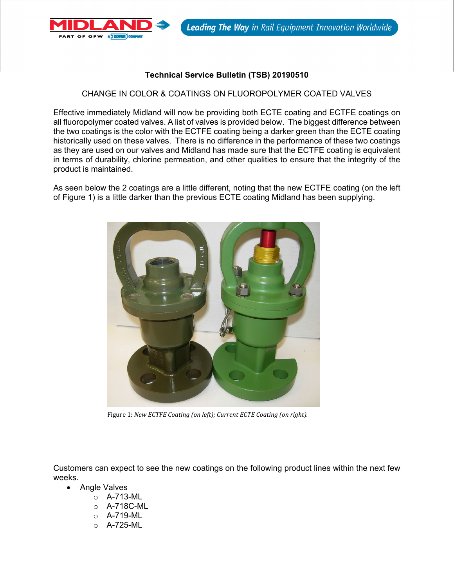

## **Technical Service Bulletin (TSB) 20190510**

## CHANGE IN COLOR & COATINGS ON FLUOROPOLYMER COATED VALVES

Effective immediately Midland will now be providing both ECTE coating and ECTFE coatings on all fluoropolymer coated valves. A list of valves is provided below. The biggest difference between the two coatings is the color with the ECTFE coating being a darker green than the ECTE coating historically used on these valves. There is no difference in the performance of these two coatings as they are used on our valves and Midland has made sure that the ECTFE coating is equivalent in terms of durability, chlorine permeation, and other qualities to ensure that the integrity of the product is maintained.

As seen below the 2 coatings are a little different, noting that the new ECTFE coating (on the left of Figure 1) is a little darker than the previous ECTE coating Midland has been supplying.



Figure 1: *New ECTFE Coating (on left); Current ECTE Coating (on right).*

Customers can expect to see the new coatings on the following product lines within the next few weeks.

- Angle Valves
	- o A-713-ML
	- o A-718C-ML
	- o A-719-ML
	- o A-725-ML